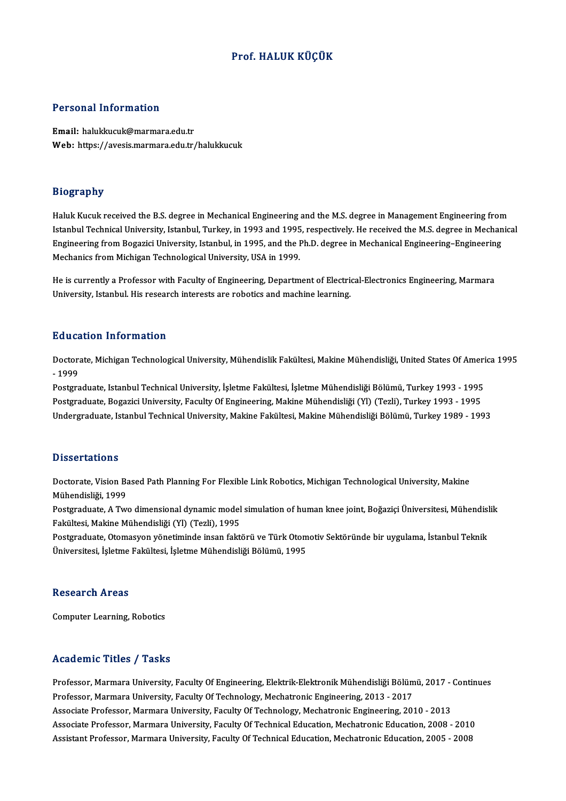### Prof.HALUK KÜÇÜK

### Personal Information

Email: halukkucuk@marmara.edu.tr Web: https://avesis.marmara.edu.tr/halukkucuk

### Biography

Haluk Kucuk received the B.S. degree in Mechanical Engineering and the M.S. degree in Management Engineering from Istanbul Technical University, Istanbul, Turkey, in 1993 and 1995, respectively. He received the M.S. degree in Mechanical Haluk Kucuk received the B.S. degree in Mechanical Engineering and the M.S. degree in Management Engineering from<br>Istanbul Technical University, Istanbul, Turkey, in 1993 and 1995, respectively. He received the M.S. degree Istanbul Technical University, Istanbul, Turkey, in 1993 and 1995<br>Engineering from Bogazici University, Istanbul, in 1995, and the I<br>Mechanics from Michigan Technological University, USA in 1999.

Engineering from Bogazier onversity, Islambur, in 1999, and the Fin.D. degree in Mechanical Engineering Engineering<br>Mechanics from Michigan Technological University, USA in 1999.<br>He is currently a Professor with Faculty of Mechanics from Michigan Technological Offversity, OSA in 1999.<br>He is currently a Professor with Faculty of Engineering, Department of Electric<br>University, Istanbul. His research interests are robotics and machine learning. University, Istanbul. His research interests are robotics and machine learning.<br>Education Information

**Education Information**<br>Doctorate, Michigan Technological University, Mühendislik Fakültesi, Makine Mühendisliği, United States Of America 1995<br>1999 Huussel<br>Doctora<br>- 1999 Doctorate, Michigan Technological University, Mühendislik Fakültesi, Makine Mühendisliği, United States Of Ameri<br>- 1999<br>Postgraduate, Istanbul Technical University, İşletme Fakültesi, İşletme Mühendisliği Bölümü, Turkey 19

- 1999<br>Postgraduate, Istanbul Technical University, İşletme Fakültesi, İşletme Mühendisliği Bölümü, Turkey 1993 - 1995<br>Postgraduate, Bogazici University, Faculty Of Engineering, Makine Mühendisliği (Yl) (Tezli), Turkey 199 Postgraduate, Bogazici University, Faculty Of Engineering, Makine Mühendisliği (Yl) (Tezli), Turkey 1993 - 1995<br>Undergraduate, Istanbul Technical University, Makine Fakültesi, Makine Mühendisliği Bölümü, Turkey 1989 - 1993

### **Dissertations**

Dissertations<br>Doctorate, Vision Based Path Planning For Flexible Link Robotics, Michigan Technological University, Makine<br>Mühendisliği, 1999 *Basser tacrome*<br>Doctorate, Vision Ba<br>Mühendisliği, 1999<br>Bostaraduata A Tur Doctorate, Vision Based Path Planning For Flexible Link Robotics, Michigan Technological University, Makine<br>Mühendisliği, 1999<br>Postgraduate, A Two dimensional dynamic model simulation of human knee joint, Boğaziçi Üniversi

Mühendisliği, 1999<br>Postgraduate, A Two dimensional dynamic model<br>Fakültesi, Makine Mühendisliği (Yl) (Tezli), 1995<br>Postgraduate, Otamasyon vönetiminde insan fakt Postgraduate, A Two dimensional dynamic model simulation of human knee joint, Boğaziçi Üniversitesi, Mühendisl<br>Fakültesi, Makine Mühendisliği (Yl) (Tezli), 1995<br>Postgraduate, Otomasyon yönetiminde insan faktörü ve Türk Oto

Fakültesi, Makine Mühendisliği (Yl) (Tezli), 1995<br>Postgraduate, Otomasyon yönetiminde insan faktörü ve Türk Otom<br>Üniversitesi, İşletme Fakültesi, İşletme Mühendisliği Bölümü, 1995 Üniversitesi, İşletme Fakültesi, İşletme Mühendisliği Bölümü, 1995<br>Research Areas

Computer Learning, Robotics

### Academic Titles / Tasks

Academic Titles / Tasks<br>Professor, Marmara University, Faculty Of Engineering, Elektrik-Elektronik Mühendisliği Bölümü, 2017 - Continues<br>Professor, Marmara University, Faculty Of Technology, Meshatronia Engineering, 2012, rreationine Trenes 7 Tusne<br>Professor, Marmara University, Faculty Of Engineering, Elektrik-Elektronik Mühendisliği Bölüm<br>Professor, Marmara University, Faculty Of Technology, Mechatronic Engineering, 2013 - 2017<br>Assesiste Professor, Marmara University, Faculty Of Engineering, Elektrik-Elektronik Mühendisliği Bölümü, 2017 -<br>Professor, Marmara University, Faculty Of Technology, Mechatronic Engineering, 2013 - 2017<br>Associate Professor, Marmara Professor, Marmara University, Faculty Of Technology, Mechatronic Engineering, 2013 - 2017<br>Associate Professor, Marmara University, Faculty Of Technology, Mechatronic Engineering, 2010 - 2013<br>Associate Professor, Marmara U Associate Professor, Marmara University, Faculty Of Technology, Mechatronic Engineering, 2010 - 2013<br>Associate Professor, Marmara University, Faculty Of Technical Education, Mechatronic Education, 2008 - 2010<br>Assistant Pro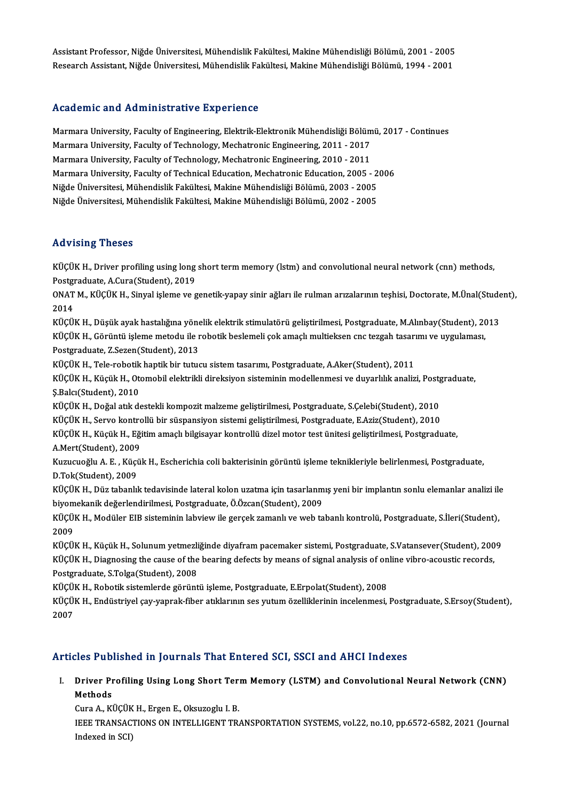Assistant Professor, Niğde Üniversitesi, Mühendislik Fakültesi, Makine Mühendisliği Bölümü, 2001 - 2005<br>Pesearah Assistant, Nižde Üniversitesi, Mühendislik Fakültesi, Makine Mühendisliği Bölümü, 2001 - 2001 Assistant Professor, Niğde Üniversitesi, Mühendislik Fakültesi, Makine Mühendisliği Bölümü, 2001 - 2005<br>Research Assistant, Niğde Üniversitesi, Mühendislik Fakültesi, Makine Mühendisliği Bölümü, 1994 - 2001 Research Assistant, Niğde Üniversitesi, Mühendislik Fakültesi, Makine Mühendisliği Bölümü, 1994 - 2001<br>Academic and Administrative Experience

Academic and Administrative Experience<br>Marmara University, Faculty of Engineering, Elektrik-Elektronik Mühendisliği Bölümü, 2017 - Continues<br>Marmara University, Faculty of Technology, Mechatronis Engineering, 2011, 2017 Marmara University, Faculty of Engineering, Elektrik-Elektronik Mühendisliği Bölüm<br>Marmara University, Faculty of Technology, Mechatronic Engineering, 2011 - 2017<br>Marmara University, Faculty of Technology, Mechatronic Engi Marmara University, Faculty of Engineering, Elektrik-Elektronik Mühendisliği Bölüm<br>Marmara University, Faculty of Technology, Mechatronic Engineering, 2011 - 2017<br>Marmara University, Faculty of Technology, Mechatronic Engi Marmara University, Faculty of Technology, Mechatronic Engineering, 2011 - 2017<br>Marmara University, Faculty of Technology, Mechatronic Engineering, 2010 - 2011<br>Marmara University, Faculty of Technical Education, Mechatroni Niğde Üniversitesi, Mühendislik Fakültesi, Makine Mühendisliği Bölümü, 2003 - 2005 Niğde Üniversitesi, Mühendislik Fakültesi, Makine Mühendisliği Bölümü, 2002 - 2005

### Advising Theses

Advising Theses<br>KÜÇÜK H., Driver profiling using long short term memory (lstm) and convolutional neural network (cnn) methods,<br>Restanaduate A Guna(Student), 2019 rea vionny<br>RÜÇÜK H., Driver profiling using long<br>Postgraduate, A.Cura(Student), 2019<br>ONAT M. KÜÇÜK H. Sinyal islame ve a KÜÇÜK H., Driver profiling using long short term memory (lstm) and convolutional neural network (cnn) methods,<br>Postgraduate, A.Cura(Student), 2019<br>ONAT M., KÜÇÜK H., Sinyal işleme ve genetik-yapay sinir ağları ile rulman a

Post<mark>gi</mark><br>ONAT<br>2014<br>*vücü* ONAT M., KÜÇÜK H., Sinyal işleme ve genetik-yapay sinir ağları ile rulman arızalarının teşhisi, Doctorate, M.Ünal(Stude<br>2014<br>KÜÇÜK H., Düşük ayak hastalığına yönelik elektrik stimulatörü geliştirilmesi, Postgraduate, M.Alı

2014<br>KÜÇÜK H., Düşük ayak hastalığına yönelik elektrik stimulatörü geliştirilmesi, Postgraduate, M.Alınbay(Student), 20<br>KÜÇÜK H., Görüntü işleme metodu ile robotik beslemeli çok amaçlı multieksen cnc tezgah tasarımı ve uyg KÜÇÜK H., Düşük ayak hastalığına yöne<br>KÜÇÜK H., Görüntü işleme metodu ile r<br>Postgraduate, Z.Sezen(Student), 2013<br>VÜÇÜK H., Tele rebetik bantik bir tutus KÜÇÜK H., Görüntü işleme metodu ile robotik beslemeli çok amaçlı multieksen cnc tezgah tasarı<br>Postgraduate, Z.Sezen(Student), 2013<br>KÜÇÜK H., Tele-robotik haptik bir tutucu sistem tasarımı, Postgraduate, A.Aker(Student), 20

KÜÇÜK H., Tele-robotik haptik bir tutucu sistem tasarımı, Postgraduate, A.Aker(Student), 2011

Postgraduate, Z.Sezen(Student), 2013<br>KÜÇÜK H., Tele-robotik haptik bir tutucu sistem tasarımı, Postgraduate, A.Aker(Student), 2011<br>KÜÇÜK H., Küçük H., Otomobil elektrikli direksiyon sisteminin modellenmesi ve duyarlılık an Ş.Balcı(Student), 2010<br>KÜÇÜK H., Doğal atık destekli kompozit malzeme geliştirilmesi, Postgraduate, S.Çelebi(Student), 2010<br>KÜÇÜK H., Servo kontrollü bir süspansiyon sistemi geliştirilmesi, Postgraduate, E.Aziz(Student), 2

KÜÇÜK H., Doğal atık destekli kompozit malzeme geliştirilmesi, Postgraduate, S.Çelebi(Student), 2010

KÜÇÜK H., Doğal atık destekli kompozit malzeme geliştirilmesi, Postgraduate, S.Çelebi(Student), 2010<br>KÜÇÜK H., Servo kontrollü bir süspansiyon sistemi geliştirilmesi, Postgraduate, E.Aziz(Student), 2010<br>KÜÇÜK H., Küçük H., KÜÇÜK H., Servo kontro<br>KÜÇÜK H., Küçük H., Eği<br>A.Mert(Student), 2009<br>Kuruanoğlu A. E., Küçü KÜÇÜK H., Küçük H., Eğitim amaçlı bilgisayar kontrollü dizel motor test ünitesi geliştirilmesi, Postgraduate,<br>A.Mert(Student), 2009<br>Kuzucuoğlu A. E. , Küçük H., Escherichia coli bakterisinin görüntü işleme teknikleriyle be

A.Mert(Student), 2009<br>Kuzucuoğlu A. E. , Küçi<br>D.Tok(Student), 2009<br>VÜÇÜV H. Düz tabaalıl Kuzucuoğlu A. E. , Küçük H., Escherichia coli bakterisinin görüntü işleme teknikleriyle belirlenmesi, Postgraduate,<br>D.Tok(Student), 2009<br>KÜÇÜK H., Düz tabanlık tedavisinde lateral kolon uzatma için tasarlanmış yeni bir imp

D.Tok(Student), 2009<br>KÜÇÜK H., Düz tabanlık tedavisinde lateral kolon uzatma için tasarlanm<br>biyomekanik değerlendirilmesi, Postgraduate, Ö.Özcan(Student), 2009<br>KÜÇÜK H., Modülar EIP sisteminin labyisu: ile gersek gemanlı v KÜÇÜK H., Düz tabanlık tedavisinde lateral kolon uzatma için tasarlanmış yeni bir implantın sonlu elemanlar analizi ile<br>biyomekanik değerlendirilmesi, Postgraduate, Ö.Özcan(Student), 2009<br>KÜÇÜK H., Modüler EIB sisteminin l

biyom<br>KÜÇÜ<br>2009<br>Küçü KÜÇÜK H., Modüler EIB sisteminin labview ile gerçek zamanlı ve web tabanlı kontrolü, Postgraduate, S.İleri(Student),<br>2009<br>KÜÇÜK H., Küçük H., Solunum yetmezliğinde diyafram pacemaker sistemi, Postgraduate, S.Vatansever(Stu

2009<br>KÜÇÜK H., Küçük H., Solunum yetmezliğinde diyafram pacemaker sistemi, Postgraduate, S.Vatansever(Student), 200<br>KÜÇÜK H., Diagnosing the cause of the bearing defects by means of signal analysis of online vibro-acoustic KÜÇÜK H., Küçük H., Solunum yetmezli<br>KÜÇÜK H., Diagnosing the cause of the<br>Postgraduate, S.Tolga(Student), 2008<br>VÜÇÜK H., Bobatik sistemlerde görünt KÜÇÜK H., Diagnosing the cause of the bearing defects by means of signal analysis of online vibro-acoustic records,<br>Postgraduate, S.Tolga(Student), 2008

KÜÇÜK H., Robotik sistemlerde görüntü isleme, Postgraduate, E.Erpolat(Student), 2008

KÜÇÜK H., Endüstriyel çay-yaprak-fiber atıklarının ses yutum özelliklerinin incelenmesi, Postgraduate, S.Ersoy(Student),<br>2007

### Articles Published in Journals That Entered SCI, SSCI and AHCI Indexes

rticles Published in Journals That Entered SCI, SSCI and AHCI Indexes<br>I. Driver Profiling Using Long Short Term Memory (LSTM) and Convolutional Neural Network (CNN)<br>Mathada Driver Pr<br>Driver Pr<br>Guns A Kl Driver Profiling Using Long Short Ter:<br>Methods<br>Cura A., KÜÇÜK H., Ergen E., Oksuzoglu I. B.<br>JEEE TRANSACTIONS ON INTELLICENT TR

Cura A., KÜÇÜK H., Ergen E., Oksuzoglu I. B.

Methods<br>Cura A., KÜÇÜK H., Ergen E., Oksuzoglu I. B.<br>IEEE TRANSACTIONS ON INTELLIGENT TRANSPORTATION SYSTEMS, vol.22, no.10, pp.6572-6582, 2021 (Journal<br>Indexed in SCI)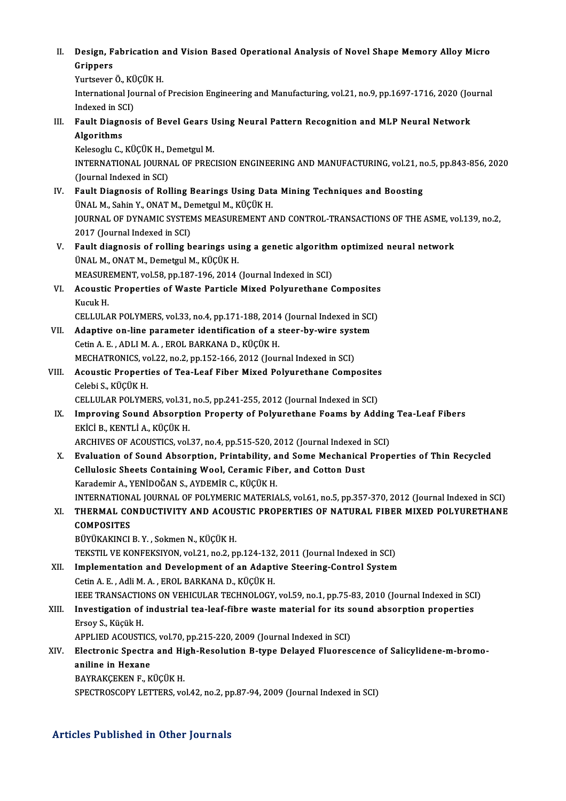II. Design, Fabrication and Vision Based Operational Analysis of Novel Shape Memory Alloy Micro<br>Crinners Design, F<br>Grippers<br><sup>Vuntosvor</sup> Desi<mark>gn, Fabrication a</mark><br>Grippers<br>Yurtsever Ö., KÜÇÜK H.<br>International Journal et

Grippers<br>Yurtsever Ö., KÜÇÜK H.<br>International Journal of Precision Engineering and Manufacturing, vol.21, no.9, pp.1697-1716, 2020 (Journal Yurtsever Ö., KÜÇÜK H. International Journal of Precision Engineering and Manufacturing, vol.21, no.9, pp.1697-1716, 2020 (Journal Me<br>III. Fault Diagnosis of Bevel Gears Using Neural Pattern Recognition and MLP Neural Network<br>Algorithms

Indexed in SCI)<br>Fault Diagnosis of Bevel Gears U<br>Algorithms<br>Kelesoglu C., KÜÇÜK H., Demetgul M. Fault Diagnosis of Bevel Gears U<br>Algorithms<br>Kelesoglu C., KÜÇÜK H., Demetgul M.<br>INTERNATIONAL JOURNAL OF PREC

Algorithms<br>Kelesoglu C., KÜÇÜK H., Demetgul M.<br>INTERNATIONAL JOURNAL OF PRECISION ENGINEERING AND MANUFACTURING, vol.21, no.5, pp.843-856, 2020<br>(Journal Indoxed in SCL) Kelesoglu C., KÜÇÜK H., <mark>E</mark><br>INTERNATIONAL JOURN.<br>(Journal Indexed in SCI)<br>Foult Diagnosis of Pol INTERNATIONAL JOURNAL OF PRECISION ENGINEERING AND MANUFACTURING, vol.21, no<br>(Journal Indexed in SCI)<br>IV. Fault Diagnosis of Rolling Bearings Using Data Mining Techniques and Boosting<br>(INAL M. Sobin Y. ONAT M. Domotrul M.

- (Journal Indexed in SCI)<br>Fault Diagnosis of Rolling Bearings Using Dat:<br>ÜNAL M., Sahin Y., ONAT M., Demetgul M., KÜÇÜK H.<br>JOURNAL OF DYNAMIC SYSTEMS MEASUREMENT A Fault Diagnosis of Rolling Bearings Using Data Mining Techniques and Boosting<br>ÜNAL M., Sahin Y., ONAT M., Demetgul M., KÜÇÜK H.<br>JOURNAL OF DYNAMIC SYSTEMS MEASUREMENT AND CONTROL-TRANSACTIONS OF THE ASME, vol.139, no.2,<br>20 ÜNAL M., Sahin Y., ONAT M., Demetgul M., KÜÇÜK H.<br>JOURNAL OF DYNAMIC SYSTEMS MEASUREMENT AND CONTROL-TRANSACTIONS OF THE ASME, vol.139, no.2,<br>2017 (Journal Indexed in SCI) JOURNAL OF DYNAMIC SYSTEMS MEASUREMENT AND CONTROL-TRANSACTIONS OF THE ASME, vo<br>2017 (Journal Indexed in SCI)<br>V. Fault diagnosis of rolling bearings using a genetic algorithm optimized neural network<br><sup>INALM</sup> ONATM, Dometau
- 2017 (Journal Indexed in SCI)<br>Fault diagnosis of rolling bearings usi<br>ÜNAL M., ONAT M., Demetgul M., KÜÇÜK H.<br>MEASUBEMENT vol 59 pp 197 196 2014 Fault diagnosis of rolling bearings using a genetic algorithm<br>ÜNAL M., ONAT M., Demetgul M., KÜÇÜK H.<br>MEASUREMENT, vol.58, pp.187-196, 2014 (Journal Indexed in SCI)<br>Acquatic Proportice of Wests Perticle Mived Polyurathane ÜNAL M., ONAT M., Demetgul M., KÜÇÜK H.<br>MEASUREMENT, vol.58, pp.187-196, 2014 (Journal Indexed in SCI)<br>VI. Acoustic Properties of Waste Particle Mixed Polyurethane Composites<br>Kucuk H. MEASUREMENT, vol.58, pp.187-196, 2014 (Journal Indexed in SCI)
- Acoustic Properties of Waste Particle Mixed Polyurethane Composites<br>Kucuk H.<br>CELLULAR POLYMERS, vol.33, no.4, pp.171-188, 2014 (Journal Indexed in SCI)
- Kucuk H.<br>CELLULAR POLYMERS, vol.33, no.4, pp.171-188, 2014 (Journal Indexed in SCI<br>VII. Adaptive on-line parameter identification of a steer-by-wire system<br>Cetin A.E. ADLLMA, EPOL BARKANA D. KÜCÜK H CELLULAR POLYMERS, vol.33, no.4, pp.171-188, 2014<br>Adaptive on-line parameter identification of a s<br>Cetin A. E., ADLI M. A., EROL BARKANA D., KÜÇÜK H.<br>MECHATPONICS vol.33, no.3, np.153, 166, 3013 (Jour Adaptive on-line parameter identification of a steer-by-wire syst<br>Cetin A. E. , ADLI M. A. , EROL BARKANA D., KÜÇÜK H.<br>MECHATRONICS, vol.22, no.2, pp.152-166, 2012 (Journal Indexed in SCI)<br>Acquatic Proporties of Tea Leaf E Cetin A. E. , ADLI M. A. , EROL BARKANA D., KÜÇÜK H.<br>MECHATRONICS, vol.22, no.2, pp.152-166, 2012 (Journal Indexed in SCI)<br>VIII. Acoustic Properties of Tea-Leaf Fiber Mixed Polyurethane Composites<br>Celebi S. KÜÇÜK H
- MECHATRONICS, vo<br>Acoustic Propert<br>Celebi S., KÜÇÜK H.<br>CELLULAP POLYMI Acoustic Properties of Tea-Leaf Fiber Mixed Polyurethane Composites<br>Celebi S., KÜÇÜK H.<br>CELLULAR POLYMERS, vol.31, no.5, pp.241-255, 2012 (Journal Indexed in SCI)<br>Impressing Sound Absention Preperty of Bolyurethane Foams b

Celebi S., KÜÇÜK H.<br>CELLULAR POLYMERS, vol.31, no.5, pp.241-255, 2012 (Journal Indexed in SCI)<br>IX. Improving Sound Absorption Property of Polyurethane Foams by Adding Tea-Leaf Fibers<br>Exici B. KENTI LA, KÜÇÜK H CELLULAR POLYMERS, vol.31,<br>Improving Sound Absorpti<br>EKİCİ B., KENTLİ A., KÜÇÜK H.<br>ABCUIVES OF ACQUSTICS, vol. Improving Sound Absorption Property of Polyurethane Foams by Adding<br>EKİCİ B., KENTLİ A., KÜÇÜK H.<br>ARCHIVES OF ACOUSTICS, vol.37, no.4, pp.515-520, 2012 (Journal Indexed in SCI)<br>Evaluation of Sound Absorption, Printability,

ARCHIVES OF ACOUSTICS, vol.37, no.4, pp.515-520, 2012 (Journal Indexed in SCI)

EKİCİ B., KENTLİ A., KÜÇÜK H.<br>ARCHIVES OF ACOUSTICS, vol.37, no.4, pp.515-520, 2012 (Journal Indexed in SCI)<br>X. Evaluation of Sound Absorption, Printability, and Some Mechanical Properties of Thin Recycled<br>Cellulosic Sheet Karademir A., YENİDOĞAN S., AYDEMİR C., KÜÇÜK H. Cellulosic Sheets Containing Wool, Ceramic Fiber, and Cotton Dust<br>Karademir A., YENİDOĞAN S., AYDEMİR C., KÜÇÜK H.<br>INTERNATIONAL JOURNAL OF POLYMERIC MATERIALS, vol.61, no.5, pp.357-370, 2012 (Journal Indexed in SCI)<br>THERM Karademir A., YENİDOĞAN S., AYDEMİR C., KÜÇÜK H.<br>INTERNATIONAL JOURNAL OF POLYMERIC MATERIALS, vol.61, no.5, pp.357-370, 2012 (Journal Indexed in SCI)<br>XI. THERMAL CONDUCTIVITY AND ACOUSTIC PROPERTIES OF NATURAL FIBER M

## INTERNATION<br>THERMAL CO<br>COMPOSITES<br>PÜVÜVAKINCI THERMAL CONDUCTIVITY AND ACOU:<br>COMPOSITES<br>BÜYÜKAKINCI B.Y., Sokmen N., KÜÇÜK H.<br>TEKSTIL VE KONEEKSIYON vel 31 no 3 ni COMPOSITES<br>BÜYÜKAKINCI B. Y. , Sokmen N., KÜÇÜK H.<br>TEKSTIL VE KONFEKSIYON, vol.21, no.2, pp.124-132, 2011 (Journal Indexed in SCI)

- BÜYÜKAKINCI B. Y. , Sokmen N., KÜÇÜK H.<br>TEKSTIL VE KONFEKSIYON, vol.21, no.2, pp.124-132, 2011 (Journal Indexed in SCI)<br>XII. Implementation and Development of an Adaptive Steering-Control System<br>Cotin A. E. Adli M. A., ERO TEKSTIL VE KONFEKSIYON, vol.21, no.2, pp.124-132<br>Implementation and Development of an Adapt<br>Cetin A. E. , Adli M. A. , EROL BARKANA D., KÜÇÜK H.<br>JEEE TRANSACTIONS ON VEHICULAR TECHNOLOCY Cetin A. E. , Adli M. A. , EROL BARKANA D., KÜÇÜK H.<br>IEEE TRANSACTIONS ON VEHICULAR TECHNOLOGY, vol.59, no.1, pp.75-83, 2010 (Journal Indexed in SCI)
- Cetin A. E. , Adli M. A. , EROL BARKANA D., KÜÇÜK H.<br>IEEE TRANSACTIONS ON VEHICULAR TECHNOLOGY, vol.59, no.1, pp.75-83, 2010 (Journal Indexed in SCI<br>XIII. Investigation of industrial tea-leaf-fibre waste material for its s **IEEE TRANSACTIC<br>Investigation of<br>Ersoy S., Küçük H.**<br>APPLIED ACOUSTI Investigation of industrial tea-leaf-fibre waste material for its s<br>Ersoy S., Küçük H.<br>APPLIED ACOUSTICS, vol.70, pp.215-220, 2009 (Journal Indexed in SCI)<br>Electronic Spectre and High Beselution B tune Delayed Elueres:

# Ersoy S., Küçük H.<br>APPLIED ACOUSTICS, vol.70, pp.215-220, 2009 (Journal Indexed in SCI)<br>XIV. Electronic Spectra and High-Resolution B-type Delayed Fluorescence of Salicylidene-m-bromo-<br>Apiline in Heyene APPLIED ACOUSTICS, vol.70, pp.215-220, 2009 (Journal Indexed in SCI)<br>Electronic Spectra and High-Resolution B-type Delayed Fluores<br>aniline in Hexane<br>BAYRAKCEKEN F., KÜCÜK H. Electronic Spectra and Hi<br>aniline in Hexane<br>BAYRAKÇEKEN F., KÜÇÜK H.<br>SPECTROSCOPY LETTERS vo

SPECTROSCOPY LETTERS, vol.42, no.2, pp.87-94, 2009 (Journal Indexed in SCI)

## Articles Published in Other Journals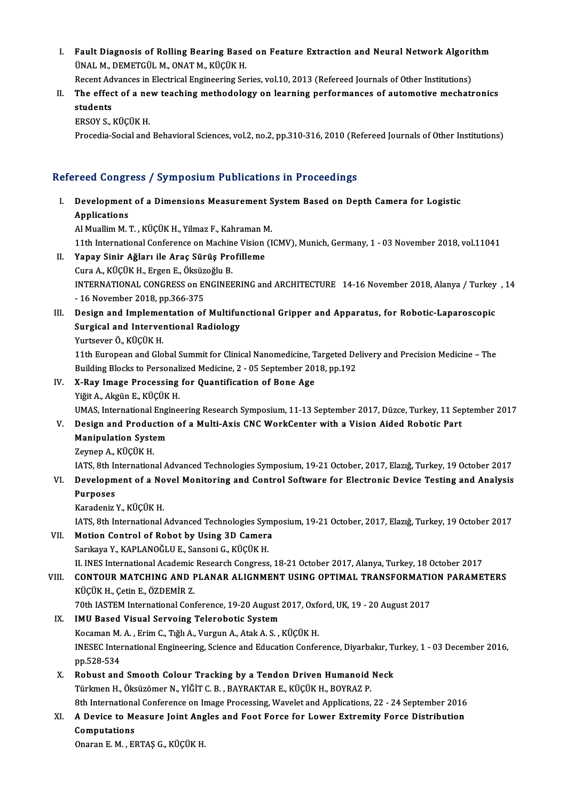I. Fault Diagnosis of Rolling Bearing Based on Feature Extraction and Neural Network Algorithm<br>JINAL M. DEMETCUL M. ONAT M. Kicily H Fault Diagnosis of Rolling Bearing Base<br>ÜNAL M., DEMETGÜL M., ONAT M., KÜÇÜK H.<br>Besent Advanses in Flectrisel Engineering Se Fault Diagnosis of Rolling Bearing Based on Feature Extraction and Neural Network Algorit<br>ÜNAL M., DEMETGÜL M., ONAT M., KÜÇÜK H.<br>Recent Advances in Electrical Engineering Series, vol.10, 2013 (Refereed Journals of Other I

UNAL M., DEMETGUL M., ONAT M., KUÇUK H.<br>Recent Advances in Electrical Engineering Series, vol.10, 2013 (Refereed Journals of Other Institutions)<br>II. The effect of a new teaching methodology on learning performances of auto Recent Ad<br>The effec<br>students<br>EPSOV S The effect of a ne<br>students<br>ERSOY S., KÜÇÜK H.<br>Prosodia Social and students<br>ERSOY S., KÜÇÜK H.<br>Procedia-Social and Behavioral Sciences, vol.2, no.2, pp.310-316, 2010 (Refereed Journals of Other Institutions)

## Refereed Congress / Symposium Publications in Proceedings

efereed Congress / Symposium Publications in Proceedings<br>I. Development of a Dimensions Measurement System Based on Depth Camera for Logistic<br>Applications Development<br>Applications<br>Al Muellim M Development of a Dimensions Measurement S<br>Applications<br>Al Muallim M. T. , KÜÇÜK H., Yilmaz F., Kahraman M.<br>11th International Conference on Mashine Vision (I

Applications<br>11th International Conference on Machine Vision (ICMV), Munich, Germany, 1 - 03 November 2018, vol.11041<br>11th International Conference on Machine Vision (ICMV), Munich, Germany, 1 - 03 November 2018, vol.11041

Al Muallim M. T., KÜÇÜK H., Yilmaz F., Kahraman M<br>11th International Conference on Machine Vision<br>II. Yapay Sinir Ağları ile Araç Sürüş Profilleme CuraA.,KÜÇÜKH.,ErgenE.,ÖksüzoğluB. Yapay Sinir Ağları ile Araç Sürüş Profilleme<br>Cura A., KÜÇÜK H., Ergen E., Öksüzoğlu B.<br>INTERNATIONAL CONGRESS on ENGINEERING and ARCHITECTURE 14-16 November 2018, Alanya / Turkey , 14<br>16 November 2018, pp.366-375 Cura A., KÜÇÜK H., Ergen E., Öksüz<br>INTERNATIONAL CONGRESS on El<br>- 16 November 2018, pp.366-375<br>Design and Implementation of INTERNATIONAL CONGRESS on ENGINEERING and ARCHITECTURE 14-16 November 2018, Alanya / Turkey<br>16 November 2018, pp.366-375<br>III. Design and Implementation of Multifunctional Gripper and Apparatus, for Robotic-Laparoscopic<br>Sur

## - 16 November 2018, pp.366-375<br>Design and Implementation of Multiful<br>Surgical and Interventional Radiology<br><sup>Vurtoquor Ö, Küçük H</sub></sup> Design and Implemer<br>Surgical and Interver<br>Yurtsever Ö., KÜÇÜK H.<br>11th Euroneen and Cle Surgical and Interventional Radiology<br>11th European and Global Summit for Clinical Nanomedicine, Targeted Delivery and Precision Medicine – The<br>11th European and Global Summit for Clinical Nanomedicine, Targeted Delivery a

Building Blocks to Personalized Medicine, 2 - 05 September 2018, pp.192

IV. X-Ray Image Processing for Quantification of Bone Age YiğitA.,AkgünE.,KÜÇÜKH. X-Ray Image Processing for Quantification of Bone Age<br>Yiğit A., Akgün E., KÜÇÜK H.<br>UMAS, International Engineering Research Symposium, 11-13 September 2017, Düzce, Turkey, 11 September 2017<br>Design and Production of a Multi

- V. Design and Production of a Multi-Axis CNC WorkCenter with a Vision Aided Robotic Part<br>Manipulation System UMAS, International Engi<br>Design and Production<br>Manipulation System<br>Zaman A, *Vi*lCüv u Manipulation System<br>Zeynep A., KÜÇÜK H.<br>IATS, 8th International Advanced Technologies Symposium, 19-21 October, 2017, Elazığ, Turkey, 19 October 2017<br>Develenment of a Novel Monitering and Control Seftyare for Electronia De
	- ZeynepA.,KÜÇÜKH.

# VI. Development of a Novel Monitoring and Control Software for Electronic Device Testing and Analysis<br>Purposes IATS, 8th I<mark>r</mark><br>Developm<br>Purposes<br>Kanadania i Purposes<br>Karadeniz Y., KÜÇÜK H.<br>IATS, 8th International Advanced Technologies Symposium, 19-21 October, 2017, Elazığ, Turkey, 19 October 2017<br>Mation Control of Bobet by Heing 3D Comere

KaradenizY.,KÜÇÜKH.

IATS, 8th International Advanced Technologies Syn<br>Motion Control of Robot by Using 3D Camera<br>Sarıkaya Y., KAPLANOĞLU E., Sansoni G., KÜÇÜK H.<br>H. INES International Academic Besearch Congress

VII. Motion Control of Robot by Using 3D Camera<br>Sarıkaya Y., KAPLANOĞLU E., Sansoni G., KÜÇÜK H.

II. INES International Academic Research Congress, 18-21 October 2017, Alanya, Turkey, 18 October 2017

## Sarıkaya Y., KAPLANOĞLU E., Sansoni G., KÜÇÜK H.<br>II. INES International Academic Research Congress, 18-21 October 2017, Alanya, Turkey, 18 October 2017<br>VIII. CONTOUR MATCHING AND PLANAR ALIGNMENT USING OPTIMAL TRANSFOR II. INES International Academic<br>CONTOUR MATCHING AND I<br>KÜÇÜK H., Çetin E., ÖZDEMİR Z.<br>70th JASTEM International Con CONTOUR MATCHING AND PLANAR ALIGNMENT USING OPTIMAL TRANSFORMATION<br>KÜÇÜK H., Çetin E., ÖZDEMİR Z.<br>70th IASTEM International Conference, 19-20 August 2017, Oxford, UK, 19 - 20 August 2017<br>IMU Based Viaual Sarveing Telerebat KÜÇÜK H., Çetin E., ÖZDEMİR Z.<br>70th IASTEM International Conference, 19-20 August 2017, Oxfo<br>IX. IMU Based Visual Servoing Telerobotic System<br>Kocaman M. A. , Erim C., Tığlı A., Vurgun A., Atak A. S. , KÜÇÜK H.

70th IASTEM International Conference, 19-20 August 2017, Oxford, UK, 19 - 20 August 2017

IMU Based Visual Servoing Telerobotic System<br>Kocaman M. A. , Erim C., Tığlı A., Vurgun A., Atak A. S. , KÜÇÜK H.<br>INESEC International Engineering, Science and Education Conference, Diyarbakır, Turkey, 1 - 03 December 2016, Kocaman M.<br>INESEC Inter<br>pp.528-534<br>Bobust and INESEC International Engineering, Science and Education Conference, Diyarbakır, Tu<br>
pp.528-534<br>
X. Robust and Smooth Colour Tracking by a Tendon Driven Humanoid Neck<br>
Türkman H. Öksüzömen N. VİČİT G. RAVRAKTAR E. KÜÇÜK H.

pp.528-534<br>X. Robust and Smooth Colour Tracking by a Tendon Driven Humanoid Neck<br>Türkmen H., Öksüzömer N., YİĞİT C. B. , BAYRAKTAR E., KÜÇÜK H., BOYRAZ P. Robust and Smooth Colour Tracking by a Tendon Driven Humanoid Neck<br>Türkmen H., Öksüzömer N., YİĞİT C. B. , BAYRAKTAR E., KÜÇÜK H., BOYRAZ P.<br>8th International Conference on Image Processing, Wavelet and Applications, 22 -

# Türkmen H., Öksüzömer N., YİĞİT C. B. , BAYRAKTAR E., KÜÇÜK H., BOYRAZ P.<br>8th International Conference on Image Processing, Wavelet and Applications, 22 - 24 September 2016<br>XI. A Device to Measure Joint Angles and Foot For 8th Internationa<br>A Device to Me<br>Computations<br>Operan E M El A Device to Measure Joint Ang<br>Computations<br>Onaran E. M. , ERTAŞ G., KÜÇÜK H.